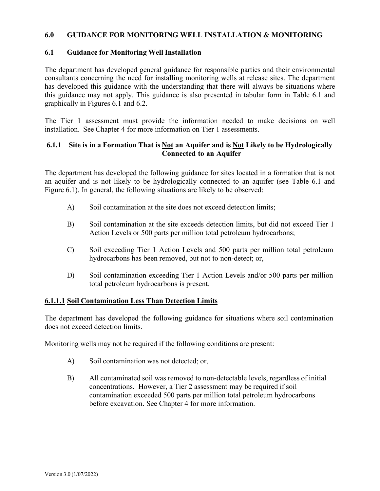#### **6.0 GUIDANCE FOR MONITORING WELL INSTALLATION & MONITORING**

#### **6.1 Guidance for Monitoring Well Installation**

The department has developed general guidance for responsible parties and their environmental consultants concerning the need for installing monitoring wells at release sites. The department has developed this guidance with the understanding that there will always be situations where this guidance may not apply. This guidance is also presented in tabular form in Table 6.1 and graphically in Figures 6.1 and 6.2.

The Tier 1 assessment must provide the information needed to make decisions on well installation. See Chapter 4 for more information on Tier 1 assessments.

### **6.1.1 Site is in a Formation That is Not an Aquifer and is Not Likely to be Hydrologically Connected to an Aquifer**

The department has developed the following guidance for sites located in a formation that is not an aquifer and is not likely to be hydrologically connected to an aquifer (see Table 6.1 and Figure 6.1). In general, the following situations are likely to be observed:

- A) Soil contamination at the site does not exceed detection limits;
- B) Soil contamination at the site exceeds detection limits, but did not exceed Tier 1 Action Levels or 500 parts per million total petroleum hydrocarbons;
- C) Soil exceeding Tier 1 Action Levels and 500 parts per million total petroleum hydrocarbons has been removed, but not to non-detect; or,
- D) Soil contamination exceeding Tier 1 Action Levels and/or 500 parts per million total petroleum hydrocarbons is present.

#### **6.1.1.1 Soil Contamination Less Than Detection Limits**

The department has developed the following guidance for situations where soil contamination does not exceed detection limits.

Monitoring wells may not be required if the following conditions are present:

- A) Soil contamination was not detected; or,
- B) All contaminated soil was removed to non-detectable levels, regardless of initial concentrations. However, a Tier 2 assessment may be required if soil contamination exceeded 500 parts per million total petroleum hydrocarbons before excavation. See Chapter 4 for more information.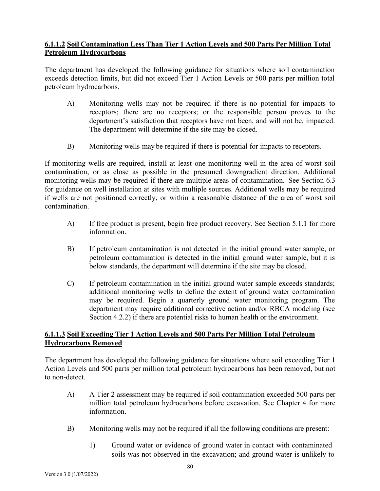# **6.1.1.2 Soil Contamination Less Than Tier 1 Action Levels and 500 Parts Per Million Total Petroleum Hydrocarbons**

The department has developed the following guidance for situations where soil contamination exceeds detection limits, but did not exceed Tier 1 Action Levels or 500 parts per million total petroleum hydrocarbons.

- A) Monitoring wells may not be required if there is no potential for impacts to receptors; there are no receptors; or the responsible person proves to the department's satisfaction that receptors have not been, and will not be, impacted. The department will determine if the site may be closed.
- B) Monitoring wells may be required if there is potential for impacts to receptors.

If monitoring wells are required, install at least one monitoring well in the area of worst soil contamination, or as close as possible in the presumed downgradient direction. Additional monitoring wells may be required if there are multiple areas of contamination. See Section 6.3 for guidance on well installation at sites with multiple sources. Additional wells may be required if wells are not positioned correctly, or within a reasonable distance of the area of worst soil contamination.

- A) If free product is present, begin free product recovery. See Section 5.1.1 for more information.
- B) If petroleum contamination is not detected in the initial ground water sample, or petroleum contamination is detected in the initial ground water sample, but it is below standards, the department will determine if the site may be closed.
- C) If petroleum contamination in the initial ground water sample exceeds standards; additional monitoring wells to define the extent of ground water contamination may be required. Begin a quarterly ground water monitoring program. The department may require additional corrective action and/or RBCA modeling (see Section 4.2.2) if there are potential risks to human health or the environment.

# **6.1.1.3 Soil Exceeding Tier 1 Action Levels and 500 Parts Per Million Total Petroleum Hydrocarbons Removed**

The department has developed the following guidance for situations where soil exceeding Tier 1 Action Levels and 500 parts per million total petroleum hydrocarbons has been removed, but not to non-detect.

- A) A Tier 2 assessment may be required if soil contamination exceeded 500 parts per million total petroleum hydrocarbons before excavation. See Chapter 4 for more information.
- B) Monitoring wells may not be required if all the following conditions are present:
	- 1) Ground water or evidence of ground water in contact with contaminated soils was not observed in the excavation; and ground water is unlikely to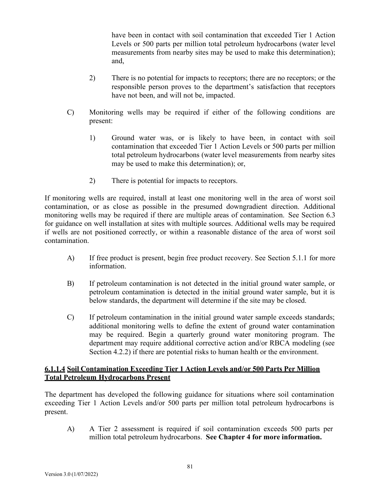have been in contact with soil contamination that exceeded Tier 1 Action Levels or 500 parts per million total petroleum hydrocarbons (water level measurements from nearby sites may be used to make this determination); and,

- 2) There is no potential for impacts to receptors; there are no receptors; or the responsible person proves to the department's satisfaction that receptors have not been, and will not be, impacted.
- C) Monitoring wells may be required if either of the following conditions are present:
	- 1) Ground water was, or is likely to have been, in contact with soil contamination that exceeded Tier 1 Action Levels or 500 parts per million total petroleum hydrocarbons (water level measurements from nearby sites may be used to make this determination); or,
	- 2) There is potential for impacts to receptors.

If monitoring wells are required, install at least one monitoring well in the area of worst soil contamination, or as close as possible in the presumed downgradient direction. Additional monitoring wells may be required if there are multiple areas of contamination. See Section 6.3 for guidance on well installation at sites with multiple sources. Additional wells may be required if wells are not positioned correctly, or within a reasonable distance of the area of worst soil contamination.

- A) If free product is present, begin free product recovery. See Section 5.1.1 for more information.
- B) If petroleum contamination is not detected in the initial ground water sample, or petroleum contamination is detected in the initial ground water sample, but it is below standards, the department will determine if the site may be closed.
- C) If petroleum contamination in the initial ground water sample exceeds standards; additional monitoring wells to define the extent of ground water contamination may be required. Begin a quarterly ground water monitoring program. The department may require additional corrective action and/or RBCA modeling (see Section 4.2.2) if there are potential risks to human health or the environment.

#### **6.1.1.4 Soil Contamination Exceeding Tier 1 Action Levels and/or 500 Parts Per Million Total Petroleum Hydrocarbons Present**

The department has developed the following guidance for situations where soil contamination exceeding Tier 1 Action Levels and/or 500 parts per million total petroleum hydrocarbons is present.

A) A Tier 2 assessment is required if soil contamination exceeds 500 parts per million total petroleum hydrocarbons. **See Chapter 4 for more information.**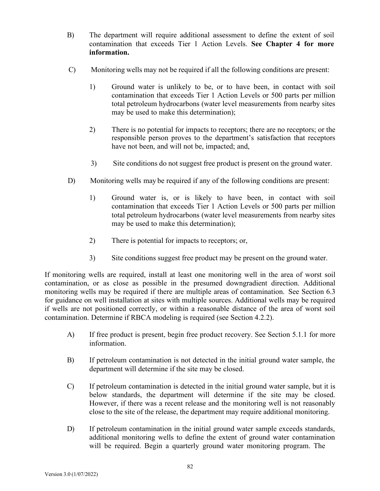- B) The department will require additional assessment to define the extent of soil contamination that exceeds Tier 1 Action Levels. **See Chapter 4 for more information.**
- C) Monitoring wells may not be required if all the following conditions are present:
	- 1) Ground water is unlikely to be, or to have been, in contact with soil contamination that exceeds Tier 1 Action Levels or 500 parts per million total petroleum hydrocarbons (water level measurements from nearby sites may be used to make this determination);
	- 2) There is no potential for impacts to receptors; there are no receptors; or the responsible person proves to the department's satisfaction that receptors have not been, and will not be, impacted; and,
	- 3) Site conditions do not suggest free product is present on the ground water.
- D) Monitoring wells may be required if any of the following conditions are present:
	- 1) Ground water is, or is likely to have been, in contact with soil contamination that exceeds Tier 1 Action Levels or 500 parts per million total petroleum hydrocarbons (water level measurements from nearby sites may be used to make this determination);
	- 2) There is potential for impacts to receptors; or,
	- 3) Site conditions suggest free product may be present on the ground water.

If monitoring wells are required, install at least one monitoring well in the area of worst soil contamination, or as close as possible in the presumed downgradient direction. Additional monitoring wells may be required if there are multiple areas of contamination. See Section 6.3 for guidance on well installation at sites with multiple sources. Additional wells may be required if wells are not positioned correctly, or within a reasonable distance of the area of worst soil contamination. Determine if RBCA modeling is required (see Section 4.2.2).

- A) If free product is present, begin free product recovery. See Section 5.1.1 for more information.
- B) If petroleum contamination is not detected in the initial ground water sample, the department will determine if the site may be closed.
- C) If petroleum contamination is detected in the initial ground water sample, but it is below standards, the department will determine if the site may be closed. However, if there was a recent release and the monitoring well is not reasonably close to the site of the release, the department may require additional monitoring.
- D) If petroleum contamination in the initial ground water sample exceeds standards, additional monitoring wells to define the extent of ground water contamination will be required. Begin a quarterly ground water monitoring program. The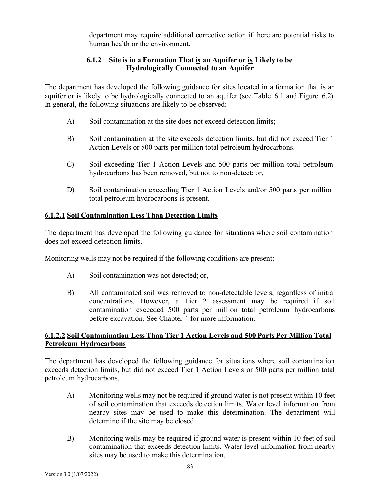department may require additional corrective action if there are potential risks to human health or the environment.

#### **6.1.2 Site is in a Formation That is an Aquifer or is Likely to be Hydrologically Connected to an Aquifer**

The department has developed the following guidance for sites located in a formation that is an aquifer or is likely to be hydrologically connected to an aquifer (see Table 6.1 and Figure 6.2). In general, the following situations are likely to be observed:

- A) Soil contamination at the site does not exceed detection limits;
- B) Soil contamination at the site exceeds detection limits, but did not exceed Tier 1 Action Levels or 500 parts per million total petroleum hydrocarbons;
- C) Soil exceeding Tier 1 Action Levels and 500 parts per million total petroleum hydrocarbons has been removed, but not to non-detect; or,
- D) Soil contamination exceeding Tier 1 Action Levels and/or 500 parts per million total petroleum hydrocarbons is present.

# **6.1.2.1 Soil Contamination Less Than Detection Limits**

The department has developed the following guidance for situations where soil contamination does not exceed detection limits.

Monitoring wells may not be required if the following conditions are present:

- A) Soil contamination was not detected; or,
- B) All contaminated soil was removed to non-detectable levels, regardless of initial concentrations. However, a Tier 2 assessment may be required if soil contamination exceeded 500 parts per million total petroleum hydrocarbons before excavation. See Chapter 4 for more information.

#### **6.1.2.2 Soil Contamination Less Than Tier 1 Action Levels and 500 Parts Per Million Total Petroleum Hydrocarbons**

The department has developed the following guidance for situations where soil contamination exceeds detection limits, but did not exceed Tier 1 Action Levels or 500 parts per million total petroleum hydrocarbons.

- A) Monitoring wells may not be required if ground water is not present within 10 feet of soil contamination that exceeds detection limits. Water level information from nearby sites may be used to make this determination. The department will determine if the site may be closed.
- B) Monitoring wells may be required if ground water is present within 10 feet of soil contamination that exceeds detection limits. Water level information from nearby sites may be used to make this determination.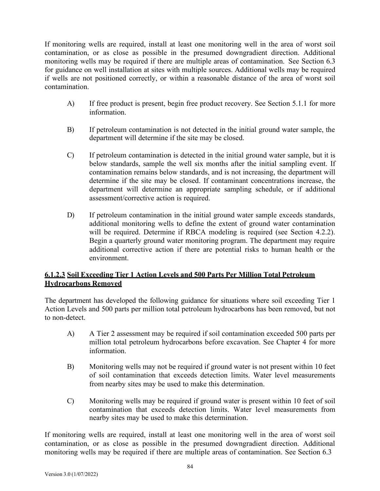If monitoring wells are required, install at least one monitoring well in the area of worst soil contamination, or as close as possible in the presumed downgradient direction. Additional monitoring wells may be required if there are multiple areas of contamination. See Section 6.3 for guidance on well installation at sites with multiple sources. Additional wells may be required if wells are not positioned correctly, or within a reasonable distance of the area of worst soil contamination.

- A) If free product is present, begin free product recovery. See Section 5.1.1 for more information.
- B) If petroleum contamination is not detected in the initial ground water sample, the department will determine if the site may be closed.
- C) If petroleum contamination is detected in the initial ground water sample, but it is below standards, sample the well six months after the initial sampling event. If contamination remains below standards, and is not increasing, the department will determine if the site may be closed. If contaminant concentrations increase, the department will determine an appropriate sampling schedule, or if additional assessment/corrective action is required.
- D) If petroleum contamination in the initial ground water sample exceeds standards, additional monitoring wells to define the extent of ground water contamination will be required. Determine if RBCA modeling is required (see Section 4.2.2). Begin a quarterly ground water monitoring program. The department may require additional corrective action if there are potential risks to human health or the environment.

# **6.1.2.3 Soil Exceeding Tier 1 Action Levels and 500 Parts Per Million Total Petroleum Hydrocarbons Removed**

The department has developed the following guidance for situations where soil exceeding Tier 1 Action Levels and 500 parts per million total petroleum hydrocarbons has been removed, but not to non-detect.

- A) A Tier 2 assessment may be required if soil contamination exceeded 500 parts per million total petroleum hydrocarbons before excavation. See Chapter 4 for more information.
- B) Monitoring wells may not be required if ground water is not present within 10 feet of soil contamination that exceeds detection limits. Water level measurements from nearby sites may be used to make this determination.
- C) Monitoring wells may be required if ground water is present within 10 feet of soil contamination that exceeds detection limits. Water level measurements from nearby sites may be used to make this determination.

If monitoring wells are required, install at least one monitoring well in the area of worst soil contamination, or as close as possible in the presumed downgradient direction. Additional monitoring wells may be required if there are multiple areas of contamination. See Section 6.3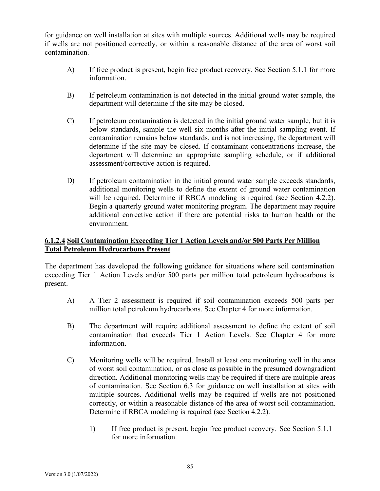for guidance on well installation at sites with multiple sources. Additional wells may be required if wells are not positioned correctly, or within a reasonable distance of the area of worst soil contamination.

- A) If free product is present, begin free product recovery. See Section 5.1.1 for more information.
- B) If petroleum contamination is not detected in the initial ground water sample, the department will determine if the site may be closed.
- C) If petroleum contamination is detected in the initial ground water sample, but it is below standards, sample the well six months after the initial sampling event. If contamination remains below standards, and is not increasing, the department will determine if the site may be closed. If contaminant concentrations increase, the department will determine an appropriate sampling schedule, or if additional assessment/corrective action is required.
- D) If petroleum contamination in the initial ground water sample exceeds standards, additional monitoring wells to define the extent of ground water contamination will be required. Determine if RBCA modeling is required (see Section 4.2.2). Begin a quarterly ground water monitoring program. The department may require additional corrective action if there are potential risks to human health or the environment.

# **6.1.2.4 Soil Contamination Exceeding Tier 1 Action Levels and/or 500 Parts Per Million Total Petroleum Hydrocarbons Present**

The department has developed the following guidance for situations where soil contamination exceeding Tier 1 Action Levels and/or 500 parts per million total petroleum hydrocarbons is present.

- A) A Tier 2 assessment is required if soil contamination exceeds 500 parts per million total petroleum hydrocarbons. See Chapter 4 for more information.
- B) The department will require additional assessment to define the extent of soil contamination that exceeds Tier 1 Action Levels. See Chapter 4 for more information.
- C) Monitoring wells will be required. Install at least one monitoring well in the area of worst soil contamination, or as close as possible in the presumed downgradient direction. Additional monitoring wells may be required if there are multiple areas of contamination. See Section 6.3 for guidance on well installation at sites with multiple sources. Additional wells may be required if wells are not positioned correctly, or within a reasonable distance of the area of worst soil contamination. Determine if RBCA modeling is required (see Section 4.2.2).
	- 1) If free product is present, begin free product recovery. See Section 5.1.1 for more information.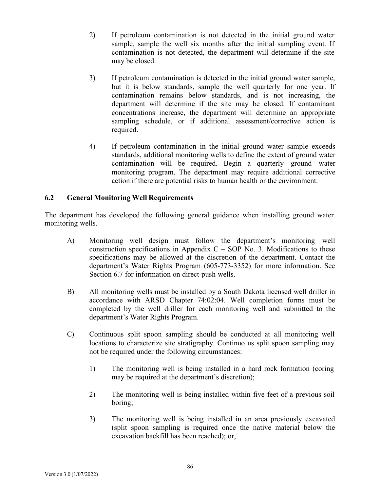- 2) If petroleum contamination is not detected in the initial ground water sample, sample the well six months after the initial sampling event. If contamination is not detected, the department will determine if the site may be closed.
- 3) If petroleum contamination is detected in the initial ground water sample, but it is below standards, sample the well quarterly for one year. If contamination remains below standards, and is not increasing, the department will determine if the site may be closed. If contaminant concentrations increase, the department will determine an appropriate sampling schedule, or if additional assessment/corrective action is required.
- 4) If petroleum contamination in the initial ground water sample exceeds standards, additional monitoring wells to define the extent of ground water contamination will be required. Begin a quarterly ground water monitoring program. The department may require additional corrective action if there are potential risks to human health or the environment.

# **6.2 General Monitoring Well Requirements**

The department has developed the following general guidance when installing ground water monitoring wells.

- A) Monitoring well design must follow the department's monitoring well construction specifications in Appendix  $C - SOP$  No. 3. Modifications to these specifications may be allowed at the discretion of the department. Contact the department's Water Rights Program (605-773-3352) for more information. See Section 6.7 for information on direct-push wells.
- B) All monitoring wells must be installed by a South Dakota licensed well driller in accordance with ARSD Chapter 74:02:04. Well completion forms must be completed by the well driller for each monitoring well and submitted to the department's Water Rights Program.
- C) Continuous split spoon sampling should be conducted at all monitoring well locations to characterize site stratigraphy. Continuo us split spoon sampling may not be required under the following circumstances:
	- 1) The monitoring well is being installed in a hard rock formation (coring may be required at the department's discretion);
	- 2) The monitoring well is being installed within five feet of a previous soil boring;
	- 3) The monitoring well is being installed in an area previously excavated (split spoon sampling is required once the native material below the excavation backfill has been reached); or,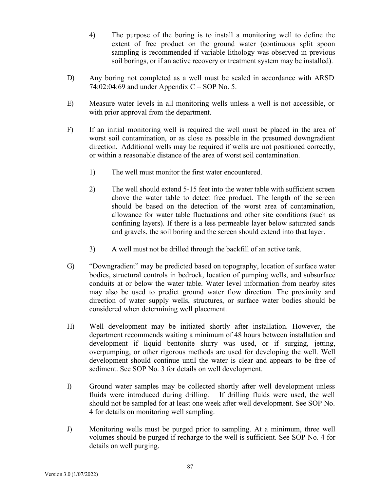4) The purpose of the boring is to install a monitoring well to define the extent of free product on the ground water (continuous split spoon sampling is recommended if variable lithology was observed in previous soil borings, or if an active recovery or treatment system may be installed).

- D) Any boring not completed as a well must be sealed in accordance with ARSD 74:02:04:69 and under Appendix  $C - SOP No. 5$ .
- E) Measure water levels in all monitoring wells unless a well is not accessible, or with prior approval from the department.
- F) If an initial monitoring well is required the well must be placed in the area of worst soil contamination, or as close as possible in the presumed downgradient direction. Additional wells may be required if wells are not positioned correctly, or within a reasonable distance of the area of worst soil contamination.
	- 1) The well must monitor the first water encountered.
	- 2) The well should extend 5-15 feet into the water table with sufficient screen above the water table to detect free product. The length of the screen should be based on the detection of the worst area of contamination, allowance for water table fluctuations and other site conditions (such as confining layers). If there is a less permeable layer below saturated sands and gravels, the soil boring and the screen should extend into that layer.
	- 3) A well must not be drilled through the backfill of an active tank.
- G) "Downgradient" may be predicted based on topography, location of surface water bodies, structural controls in bedrock, location of pumping wells, and subsurface conduits at or below the water table. Water level information from nearby sites may also be used to predict ground water flow direction. The proximity and direction of water supply wells, structures, or surface water bodies should be considered when determining well placement.
- H) Well development may be initiated shortly after installation. However, the department recommends waiting a minimum of 48 hours between installation and development if liquid bentonite slurry was used, or if surging, jetting, overpumping, or other rigorous methods are used for developing the well. Well development should continue until the water is clear and appears to be free of sediment. See SOP No. 3 for details on well development.
- I) Ground water samples may be collected shortly after well development unless fluids were introduced during drilling. If drilling fluids were used, the well should not be sampled for at least one week after well development. See SOP No. 4 for details on monitoring well sampling.
- J) Monitoring wells must be purged prior to sampling. At a minimum, three well volumes should be purged if recharge to the well is sufficient. See SOP No. 4 for details on well purging.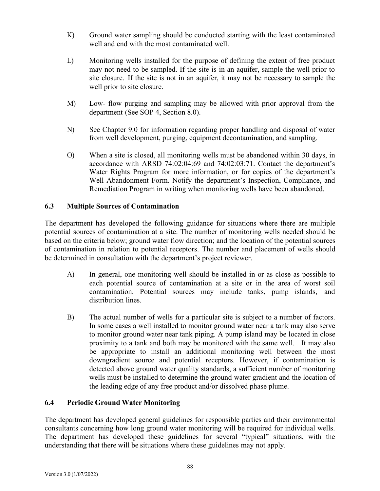- K) Ground water sampling should be conducted starting with the least contaminated well and end with the most contaminated well.
- L) Monitoring wells installed for the purpose of defining the extent of free product may not need to be sampled. If the site is in an aquifer, sample the well prior to site closure. If the site is not in an aquifer, it may not be necessary to sample the well prior to site closure.
- M) Low- flow purging and sampling may be allowed with prior approval from the department (See SOP 4, Section 8.0).
- N) See Chapter 9.0 for information regarding proper handling and disposal of water from well development, purging, equipment decontamination, and sampling.
- O) When a site is closed, all monitoring wells must be abandoned within 30 days, in accordance with ARSD 74:02:04:69 and 74:02:03:71. Contact the department's Water Rights Program for more information, or for copies of the department's Well Abandonment Form. Notify the department's Inspection, Compliance, and Remediation Program in writing when monitoring wells have been abandoned.

# **6.3 Multiple Sources of Contamination**

The department has developed the following guidance for situations where there are multiple potential sources of contamination at a site. The number of monitoring wells needed should be based on the criteria below; ground water flow direction; and the location of the potential sources of contamination in relation to potential receptors. The number and placement of wells should be determined in consultation with the department's project reviewer.

- A) In general, one monitoring well should be installed in or as close as possible to each potential source of contamination at a site or in the area of worst soil contamination. Potential sources may include tanks, pump islands, and distribution lines.
- B) The actual number of wells for a particular site is subject to a number of factors. In some cases a well installed to monitor ground water near a tank may also serve to monitor ground water near tank piping. A pump island may be located in close proximity to a tank and both may be monitored with the same well. It may also be appropriate to install an additional monitoring well between the most downgradient source and potential receptors. However, if contamination is detected above ground water quality standards, a sufficient number of monitoring wells must be installed to determine the ground water gradient and the location of the leading edge of any free product and/or dissolved phase plume.

# **6.4 Periodic Ground Water Monitoring**

The department has developed general guidelines for responsible parties and their environmental consultants concerning how long ground water monitoring will be required for individual wells. The department has developed these guidelines for several "typical" situations, with the understanding that there will be situations where these guidelines may not apply.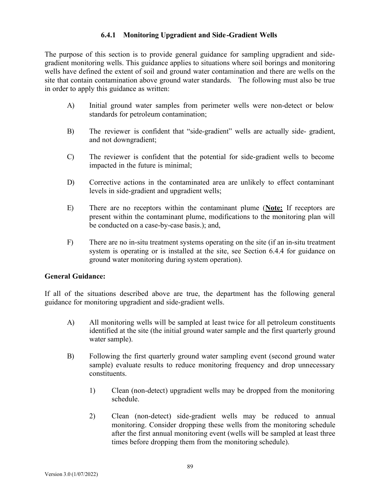# **6.4.1 Monitoring Upgradient and Side-Gradient Wells**

The purpose of this section is to provide general guidance for sampling upgradient and sidegradient monitoring wells. This guidance applies to situations where soil borings and monitoring wells have defined the extent of soil and ground water contamination and there are wells on the site that contain contamination above ground water standards. The following must also be true in order to apply this guidance as written:

- A) Initial ground water samples from perimeter wells were non-detect or below standards for petroleum contamination;
- B) The reviewer is confident that "side-gradient" wells are actually side- gradient, and not downgradient;
- C) The reviewer is confident that the potential for side-gradient wells to become impacted in the future is minimal;
- D) Corrective actions in the contaminated area are unlikely to effect contaminant levels in side-gradient and upgradient wells;
- E) There are no receptors within the contaminant plume (**Note:** If receptors are present within the contaminant plume, modifications to the monitoring plan will be conducted on a case-by-case basis.); and,
- F) There are no in-situ treatment systems operating on the site (if an in-situ treatment system is operating or is installed at the site, see Section 6.4.4 for guidance on ground water monitoring during system operation).

# **General Guidance:**

If all of the situations described above are true, the department has the following general guidance for monitoring upgradient and side-gradient wells.

- A) All monitoring wells will be sampled at least twice for all petroleum constituents identified at the site (the initial ground water sample and the first quarterly ground water sample).
- B) Following the first quarterly ground water sampling event (second ground water sample) evaluate results to reduce monitoring frequency and drop unnecessary constituents.
	- 1) Clean (non-detect) upgradient wells may be dropped from the monitoring schedule.
	- 2) Clean (non-detect) side-gradient wells may be reduced to annual monitoring. Consider dropping these wells from the monitoring schedule after the first annual monitoring event (wells will be sampled at least three times before dropping them from the monitoring schedule).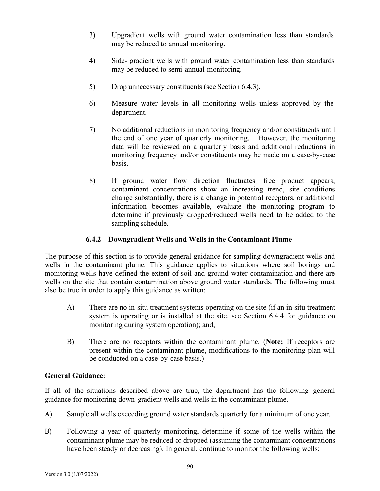- 3) Upgradient wells with ground water contamination less than standards may be reduced to annual monitoring.
- 4) Side- gradient wells with ground water contamination less than standards may be reduced to semi-annual monitoring.
- 5) Drop unnecessary constituents (see Section 6.4.3).
- 6) Measure water levels in all monitoring wells unless approved by the department.
- 7) No additional reductions in monitoring frequency and/or constituents until the end of one year of quarterly monitoring. However, the monitoring data will be reviewed on a quarterly basis and additional reductions in monitoring frequency and/or constituents may be made on a case-by-case basis.
- 8) If ground water flow direction fluctuates, free product appears, contaminant concentrations show an increasing trend, site conditions change substantially, there is a change in potential receptors, or additional information becomes available, evaluate the monitoring program to determine if previously dropped/reduced wells need to be added to the sampling schedule.

# **6.4.2 Downgradient Wells and Wells in the Contaminant Plume**

The purpose of this section is to provide general guidance for sampling downgradient wells and wells in the contaminant plume. This guidance applies to situations where soil borings and monitoring wells have defined the extent of soil and ground water contamination and there are wells on the site that contain contamination above ground water standards. The following must also be true in order to apply this guidance as written:

- A) There are no in-situ treatment systems operating on the site (if an in-situ treatment system is operating or is installed at the site, see Section 6.4.4 for guidance on monitoring during system operation); and,
- B) There are no receptors within the contaminant plume. (**Note:** If receptors are present within the contaminant plume, modifications to the monitoring plan will be conducted on a case-by-case basis.)

# **General Guidance:**

If all of the situations described above are true, the department has the following general guidance for monitoring down-gradient wells and wells in the contaminant plume.

- A) Sample all wells exceeding ground water standards quarterly for a minimum of one year.
- B) Following a year of quarterly monitoring, determine if some of the wells within the contaminant plume may be reduced or dropped (assuming the contaminant concentrations have been steady or decreasing). In general, continue to monitor the following wells: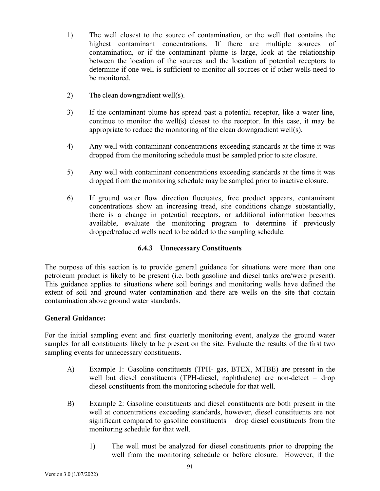- 1) The well closest to the source of contamination, or the well that contains the highest contaminant concentrations. If there are multiple sources of contamination, or if the contaminant plume is large, look at the relationship between the location of the sources and the location of potential receptors to determine if one well is sufficient to monitor all sources or if other wells need to be monitored.
- 2) The clean downgradient well(s).
- 3) If the contaminant plume has spread past a potential receptor, like a water line, continue to monitor the well(s) closest to the receptor. In this case, it may be appropriate to reduce the monitoring of the clean downgradient well(s).
- 4) Any well with contaminant concentrations exceeding standards at the time it was dropped from the monitoring schedule must be sampled prior to site closure.
- 5) Any well with contaminant concentrations exceeding standards at the time it was dropped from the monitoring schedule may be sampled prior to inactive closure.
- 6) If ground water flow direction fluctuates, free product appears, contaminant concentrations show an increasing tread, site conditions change substantially, there is a change in potential receptors, or additional information becomes available, evaluate the monitoring program to determine if previously dropped/reduced wells need to be added to the sampling schedule.

# **6.4.3 Unnecessary Constituents**

The purpose of this section is to provide general guidance for situations were more than one petroleum product is likely to be present (i.e. both gasoline and diesel tanks are/were present). This guidance applies to situations where soil borings and monitoring wells have defined the extent of soil and ground water contamination and there are wells on the site that contain contamination above ground water standards.

#### **General Guidance:**

For the initial sampling event and first quarterly monitoring event, analyze the ground water samples for all constituents likely to be present on the site. Evaluate the results of the first two sampling events for unnecessary constituents.

- A) Example 1: Gasoline constituents (TPH- gas, BTEX, MTBE) are present in the well but diesel constituents (TPH-diesel, naphthalene) are non-detect – drop diesel constituents from the monitoring schedule for that well.
- B) Example 2: Gasoline constituents and diesel constituents are both present in the well at concentrations exceeding standards, however, diesel constituents are not significant compared to gasoline constituents – drop diesel constituents from the monitoring schedule for that well.
	- 1) The well must be analyzed for diesel constituents prior to dropping the well from the monitoring schedule or before closure. However, if the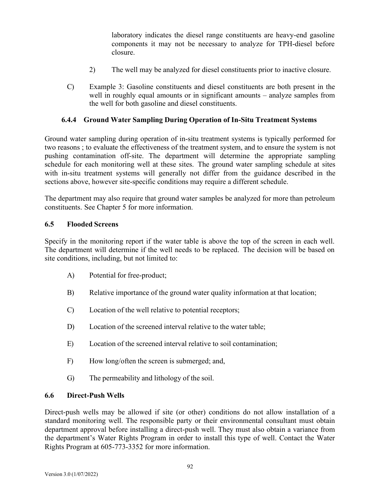laboratory indicates the diesel range constituents are heavy-end gasoline components it may not be necessary to analyze for TPH-diesel before closure.

- 2) The well may be analyzed for diesel constituents prior to inactive closure.
- C) Example 3: Gasoline constituents and diesel constituents are both present in the well in roughly equal amounts or in significant amounts – analyze samples from the well for both gasoline and diesel constituents.

#### **6.4.4 Ground Water Sampling During Operation of In-Situ Treatment Systems**

Ground water sampling during operation of in-situ treatment systems is typically performed for two reasons ; to evaluate the effectiveness of the treatment system, and to ensure the system is not pushing contamination off-site. The department will determine the appropriate sampling schedule for each monitoring well at these sites. The ground water sampling schedule at sites with in-situ treatment systems will generally not differ from the guidance described in the sections above, however site-specific conditions may require a different schedule.

The department may also require that ground water samples be analyzed for more than petroleum constituents. See Chapter 5 for more information.

#### **6.5 Flooded Screens**

Specify in the monitoring report if the water table is above the top of the screen in each well. The department will determine if the well needs to be replaced. The decision will be based on site conditions, including, but not limited to:

- A) Potential for free-product;
- B) Relative importance of the ground water quality information at that location;
- C) Location of the well relative to potential receptors;
- D) Location of the screened interval relative to the water table;
- E) Location of the screened interval relative to soil contamination;
- F) How long/often the screen is submerged; and,
- G) The permeability and lithology of the soil.

#### **6.6 Direct-Push Wells**

Direct-push wells may be allowed if site (or other) conditions do not allow installation of a standard monitoring well. The responsible party or their environmental consultant must obtain department approval before installing a direct-push well. They must also obtain a variance from the department's Water Rights Program in order to install this type of well. Contact the Water Rights Program at 605-773-3352 for more information.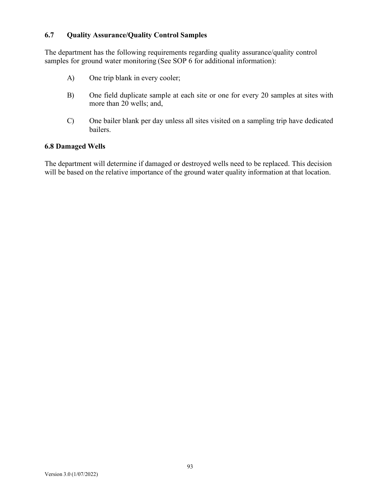#### **6.7 Quality Assurance/Quality Control Samples**

The department has the following requirements regarding quality assurance/quality control samples for ground water monitoring (See SOP 6 for additional information):

- A) One trip blank in every cooler;
- B) One field duplicate sample at each site or one for every 20 samples at sites with more than 20 wells; and,
- C) One bailer blank per day unless all sites visited on a sampling trip have dedicated bailers.

#### **6.8 Damaged Wells**

The department will determine if damaged or destroyed wells need to be replaced. This decision will be based on the relative importance of the ground water quality information at that location.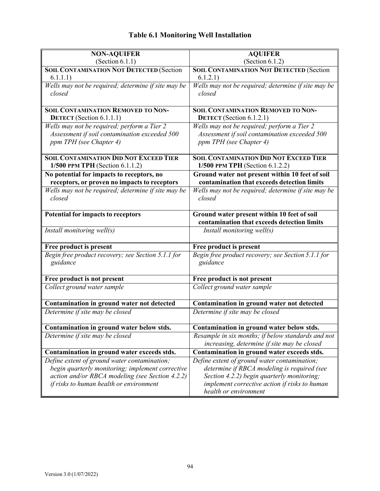# **Table 6.1 Monitoring Well Installation**

| <b>NON-AQUIFER</b>                                                                        | <b>AQUIFER</b>                                                                                 |
|-------------------------------------------------------------------------------------------|------------------------------------------------------------------------------------------------|
| (Section 6.1.1)                                                                           | (Section $6.1.2$ )                                                                             |
| <b>SOIL CONTAMINATION NOT DETECTED (Section</b><br>6.1.1.1)                               | <b>SOIL CONTAMINATION NOT DETECTED (Section</b><br>6.1.2.1)                                    |
| Wells may not be required; determine if site may be<br>closed                             | Wells may not be required; determine if site may be<br>closed                                  |
|                                                                                           |                                                                                                |
| <b>SOIL CONTAMINATION REMOVED TO NON-</b><br><b>DETECT</b> (Section 6.1.1.1)              | <b>SOIL CONTAMINATION REMOVED TO NON-</b><br>DETECT (Section 6.1.2.1)                          |
| Wells may not be required; perform a Tier 2                                               | Wells may not be required; perform a Tier 2                                                    |
| Assessment if soil contamination exceeded 500                                             | Assessment if soil contamination exceeded 500                                                  |
| ppm TPH (see Chapter 4)                                                                   | ppm TPH (see Chapter 4)                                                                        |
| <b>SOIL CONTAMINATION DID NOT EXCEED TIER</b>                                             | <b>SOIL CONTAMINATION DID NOT EXCEED TIER</b>                                                  |
| 1/500 PPM TPH (Section 6.1.1.2)                                                           | 1/500 PPM TPH (Section 6.1.2.2)                                                                |
| No potential for impacts to receptors, no<br>receptors, or proven no impacts to receptors | Ground water not present within 10 feet of soil<br>contamination that exceeds detection limits |
| Wells may not be required; determine if site may be                                       | Wells may not be required; determine if site may be                                            |
| closed                                                                                    | closed                                                                                         |
| <b>Potential for impacts to receptors</b>                                                 | Ground water present within 10 feet of soil                                                    |
|                                                                                           | contamination that exceeds detection limits                                                    |
| Install monitoring well(s)                                                                | Install monitoring well(s)                                                                     |
| Free product is present                                                                   | Free product is present                                                                        |
| Begin free product recovery; see Section 5.1.1 for<br>guidance                            | Begin free product recovery; see Section 5.1.1 for<br>guidance                                 |
| Free product is not present                                                               | Free product is not present                                                                    |
| Collect ground water sample                                                               | Collect ground water sample                                                                    |
| Contamination in ground water not detected                                                | Contamination in ground water not detected                                                     |
| Determine if site may be closed                                                           | Determine if site may be closed                                                                |
| Contamination in ground water below stds.                                                 | Contamination in ground water below stds.                                                      |
| Determine if site may be closed                                                           | Resample in six months; if below standards and not                                             |
|                                                                                           | increasing, determine if site may be closed                                                    |
| Contamination in ground water exceeds stds.                                               | Contamination in ground water exceeds stds.                                                    |
| Define extent of ground water contamination;                                              | Define extent of ground water contamination;                                                   |
| begin quarterly monitoring; implement corrective                                          | determine if RBCA modeling is required (see                                                    |
| action and/or RBCA modeling (see Section 4.2.2)                                           | Section 4.2.2) begin quarterly monitoring;                                                     |
| if risks to human health or environment                                                   | implement corrective action if risks to human                                                  |
|                                                                                           | health or environment                                                                          |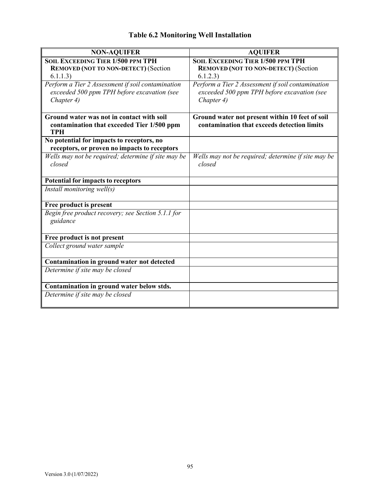| <b>NON-AQUIFER</b>                                                                        | <b>AQUIFER</b>                                      |
|-------------------------------------------------------------------------------------------|-----------------------------------------------------|
| <b>SOIL EXCEEDING TIER 1/500 PPM TPH</b>                                                  | <b>SOIL EXCEEDING TIER 1/500 PPM TPH</b>            |
| <b>REMOVED (NOT TO NON-DETECT) (Section</b>                                               | <b>REMOVED (NOT TO NON-DETECT) (Section</b>         |
| 6.1.1.3)                                                                                  | 6.1.2.3)                                            |
| Perform a Tier 2 Assessment if soil contamination                                         | Perform a Tier 2 Assessment if soil contamination   |
| exceeded 500 ppm TPH before excavation (see                                               | exceeded 500 ppm TPH before excavation (see         |
| Chapter 4)                                                                                | Chapter 4)                                          |
|                                                                                           |                                                     |
| Ground water was not in contact with soil                                                 | Ground water not present within 10 feet of soil     |
| contamination that exceeded Tier 1/500 ppm<br><b>TPH</b>                                  | contamination that exceeds detection limits         |
| No potential for impacts to receptors, no<br>receptors, or proven no impacts to receptors |                                                     |
| Wells may not be required; determine if site may be                                       | Wells may not be required; determine if site may be |
| closed                                                                                    | closed                                              |
|                                                                                           |                                                     |
| Potential for impacts to receptors                                                        |                                                     |
| Install monitoring well(s)                                                                |                                                     |
|                                                                                           |                                                     |
| Free product is present                                                                   |                                                     |
| Begin free product recovery; see Section 5.1.1 for                                        |                                                     |
| guidance                                                                                  |                                                     |
|                                                                                           |                                                     |
| Free product is not present                                                               |                                                     |
| Collect ground water sample                                                               |                                                     |
|                                                                                           |                                                     |
| Contamination in ground water not detected                                                |                                                     |
| Determine if site may be closed                                                           |                                                     |
| Contamination in ground water below stds.                                                 |                                                     |
| Determine if site may be closed                                                           |                                                     |
|                                                                                           |                                                     |
|                                                                                           |                                                     |

# **Table 6.2 Monitoring Well Installation**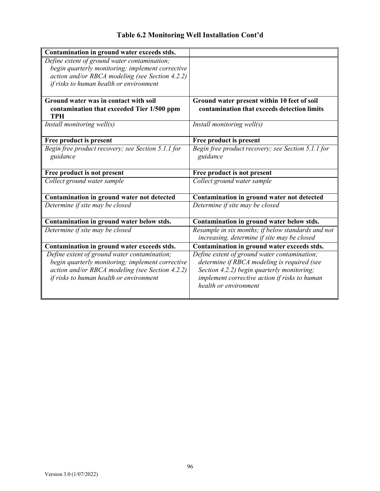| Table 6.2 Monitoring Well Installation Cont'd |  |  |  |
|-----------------------------------------------|--|--|--|
|-----------------------------------------------|--|--|--|

| Contamination in ground water exceeds stds.              |                                                    |
|----------------------------------------------------------|----------------------------------------------------|
| Define extent of ground water contamination;             |                                                    |
| begin quarterly monitoring; implement corrective         |                                                    |
| action and/or RBCA modeling (see Section 4.2.2)          |                                                    |
| if risks to human health or environment                  |                                                    |
|                                                          |                                                    |
| Ground water was in contact with soil                    | Ground water present within 10 feet of soil        |
| contamination that exceeded Tier 1/500 ppm<br><b>TPH</b> | contamination that exceeds detection limits        |
| Install monitoring well(s)                               | Install monitoring well(s)                         |
|                                                          |                                                    |
| Free product is present                                  | Free product is present                            |
| Begin free product recovery; see Section 5.1.1 for       | Begin free product recovery; see Section 5.1.1 for |
| guidance                                                 | guidance                                           |
|                                                          |                                                    |
| Free product is not present                              | Free product is not present                        |
| Collect ground water sample                              | Collect ground water sample                        |
| Contamination in ground water not detected               | Contamination in ground water not detected         |
| Determine if site may be closed                          | Determine if site may be closed                    |
|                                                          |                                                    |
| Contamination in ground water below stds.                | Contamination in ground water below stds.          |
| Determine if site may be closed                          | Resample in six months; if below standards and not |
|                                                          | increasing, determine if site may be closed        |
| Contamination in ground water exceeds stds.              | Contamination in ground water exceeds stds.        |
| Define extent of ground water contamination;             | Define extent of ground water contamination;       |
|                                                          |                                                    |
| begin quarterly monitoring; implement corrective         | determine if RBCA modeling is required (see        |
| action and/or RBCA modeling (see Section 4.2.2)          | Section 4.2.2) begin quarterly monitoring;         |
| if risks to human health or environment                  | implement corrective action if risks to human      |
|                                                          | health or environment                              |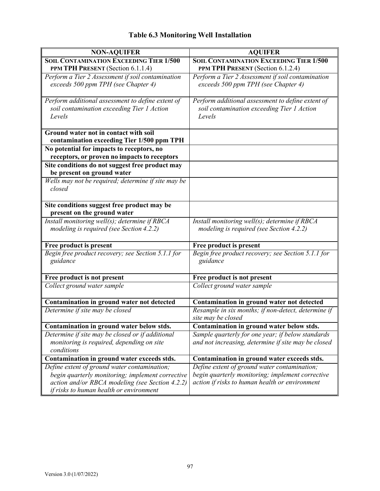| <b>NON-AQUIFER</b>                                                                                                                                                                             | <b>AQUIFER</b>                                                                                                                                     |
|------------------------------------------------------------------------------------------------------------------------------------------------------------------------------------------------|----------------------------------------------------------------------------------------------------------------------------------------------------|
| <b>SOIL CONTAMINATION EXCEEDING TIER 1/500</b>                                                                                                                                                 | <b>SOIL CONTAMINATION EXCEEDING TIER 1/500</b>                                                                                                     |
| PPM TPH PRESENT (Section 6.1.1.4)                                                                                                                                                              | PPM TPH PRESENT (Section 6.1.2.4)                                                                                                                  |
| Perform a Tier 2 Assessment if soil contamination<br>exceeds 500 ppm TPH (see Chapter 4)                                                                                                       | Perform a Tier 2 Assessment if soil contamination<br>exceeds 500 ppm TPH (see Chapter 4)                                                           |
| Perform additional assessment to define extent of<br>soil contamination exceeding Tier 1 Action<br>Levels                                                                                      | Perform additional assessment to define extent of<br>soil contamination exceeding Tier 1 Action<br>Levels                                          |
| Ground water not in contact with soil<br>contamination exceeding Tier 1/500 ppm TPH                                                                                                            |                                                                                                                                                    |
| No potential for impacts to receptors, no<br>receptors, or proven no impacts to receptors                                                                                                      |                                                                                                                                                    |
| Site conditions do not suggest free product may<br>be present on ground water                                                                                                                  |                                                                                                                                                    |
| Wells may not be required; determine if site may be<br>closed                                                                                                                                  |                                                                                                                                                    |
| Site conditions suggest free product may be<br>present on the ground water                                                                                                                     |                                                                                                                                                    |
| Install monitoring well(s); determine if RBCA<br>modeling is required (see Section 4.2.2)                                                                                                      | Install monitoring well(s); determine if RBCA<br>modeling is required (see Section 4.2.2)                                                          |
| Free product is present                                                                                                                                                                        | Free product is present                                                                                                                            |
| Begin free product recovery; see Section 5.1.1 for<br>guidance                                                                                                                                 | Begin free product recovery; see Section 5.1.1 for<br>guidance                                                                                     |
| Free product is not present                                                                                                                                                                    | Free product is not present                                                                                                                        |
| Collect ground water sample                                                                                                                                                                    | Collect ground water sample                                                                                                                        |
| Contamination in ground water not detected                                                                                                                                                     | Contamination in ground water not detected                                                                                                         |
| Determine if site may be closed                                                                                                                                                                | Resample in six months; if non-detect, determine if<br>site may be closed                                                                          |
| Contamination in ground water below stds.                                                                                                                                                      | Contamination in ground water below stds.                                                                                                          |
| Determine if site may be closed or if additional<br>monitoring is required, depending on site<br>conditions                                                                                    | Sample quarterly for one year; if below standards<br>and not increasing, determine if site may be closed                                           |
| Contamination in ground water exceeds stds.                                                                                                                                                    | Contamination in ground water exceeds stds.                                                                                                        |
| Define extent of ground water contamination;<br>begin quarterly monitoring; implement corrective<br>action and/or RBCA modeling (see Section 4.2.2)<br>if risks to human health or environment | Define extent of ground water contamination;<br>begin quarterly monitoring; implement corrective<br>action if risks to human health or environment |

# **Table 6.3 Monitoring Well Installation**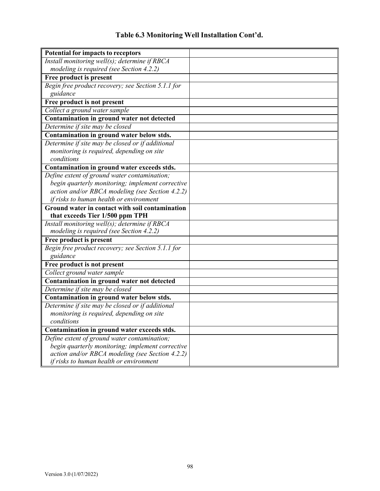| <b>Potential for impacts to receptors</b>          |  |
|----------------------------------------------------|--|
| Install monitoring well(s); determine if RBCA      |  |
| modeling is required (see Section 4.2.2)           |  |
| Free product is present                            |  |
| Begin free product recovery; see Section 5.1.1 for |  |
| guidance                                           |  |
| Free product is not present                        |  |
| Collect a ground water sample                      |  |
| Contamination in ground water not detected         |  |
| Determine if site may be closed                    |  |
| Contamination in ground water below stds.          |  |
| Determine if site may be closed or if additional   |  |
| monitoring is required, depending on site          |  |
| conditions                                         |  |
| Contamination in ground water exceeds stds.        |  |
| Define extent of ground water contamination;       |  |
| begin quarterly monitoring; implement corrective   |  |
| action and/or RBCA modeling (see Section 4.2.2)    |  |
| if risks to human health or environment            |  |
| Ground water in contact with soil contamination    |  |
| that exceeds Tier 1/500 ppm TPH                    |  |
| Install monitoring well(s); determine if RBCA      |  |
| modeling is required (see Section 4.2.2)           |  |
| Free product is present                            |  |
| Begin free product recovery; see Section 5.1.1 for |  |
| guidance                                           |  |
| Free product is not present                        |  |
| Collect ground water sample                        |  |
| Contamination in ground water not detected         |  |
| Determine if site may be closed                    |  |
| Contamination in ground water below stds.          |  |
| Determine if site may be closed or if additional   |  |
| monitoring is required, depending on site          |  |
| conditions                                         |  |
| Contamination in ground water exceeds stds.        |  |
| Define extent of ground water contamination;       |  |
| begin quarterly monitoring; implement corrective   |  |
| action and/or RBCA modeling (see Section 4.2.2)    |  |
| if risks to human health or environment            |  |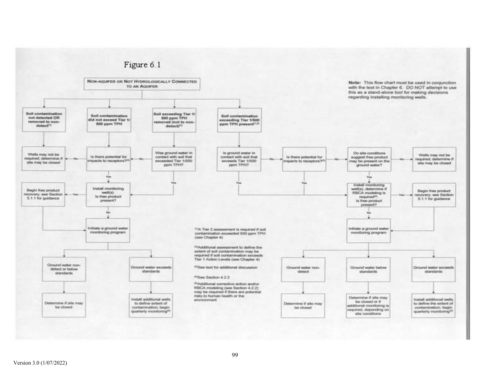

#### Version 3.0 (1/07/2022)